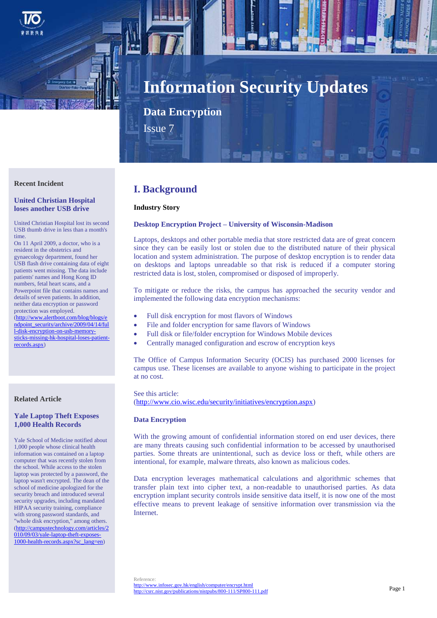

# **Information Security Updates**

**Data Encryption**

Issue 7

# **Recent Incident**

## **United Christian Hospital loses another USB drive**

United Christian Hospital lost its second USB thumb drive in less than a month's time.

On 11 April 2009, a doctor, who is a resident in the obstetrics and gynaecology department, found her USB flash drive containing data of eight patients went missing. The data include patients' names and Hong Kong ID numbers, fetal heart scans, and a Powerpoint file that contains names and details of seven patients. In addition, neither data encryption or password protection was employed. [\(http://www.alertboot.com/blog/blogs/e](http://www.alertboot.com/blog/blogs/endpoint_security/archive/2009/04/14/full-disk-encryption-on-usb-memory-sticks-missing-hk-hospital-loses-patient-records.aspx) [ndpoint\\_security/archive/2009/04/14/ful](http://www.alertboot.com/blog/blogs/endpoint_security/archive/2009/04/14/full-disk-encryption-on-usb-memory-sticks-missing-hk-hospital-loses-patient-records.aspx) [l-disk-encryption-on-usb-memory-](http://www.alertboot.com/blog/blogs/endpoint_security/archive/2009/04/14/full-disk-encryption-on-usb-memory-sticks-missing-hk-hospital-loses-patient-records.aspx)

[sticks-missing-hk-hospital-loses-patient-](http://www.alertboot.com/blog/blogs/endpoint_security/archive/2009/04/14/full-disk-encryption-on-usb-memory-sticks-missing-hk-hospital-loses-patient-records.aspx)

#### **Related Article**

[records.aspx\)](http://www.alertboot.com/blog/blogs/endpoint_security/archive/2009/04/14/full-disk-encryption-on-usb-memory-sticks-missing-hk-hospital-loses-patient-records.aspx)

# **Yale Laptop Theft Exposes 1,000 Health Records**

Yale School of Medicine notified about 1,000 people whose clinical health information was contained on a laptop computer that was recently stolen from the school. While access to the stolen laptop was protected by a password, the laptop wasn't encrypted. The dean of the school of medicine apologized for the security breach and introduced several security upgrades, including mandated HIPAA security training, compliance with strong password standards, and "whole disk encryption," among others. [\(http://campustechnology.com/articles/2](http://campustechnology.com/articles/2010/09/03/yale-laptop-theft-exposes-1000-health-records.aspx?sc_lang=en) [010/09/03/yale-laptop-theft-exposes-](http://campustechnology.com/articles/2010/09/03/yale-laptop-theft-exposes-1000-health-records.aspx?sc_lang=en)[1000-health-records.aspx?sc\\_lang=en\)](http://campustechnology.com/articles/2010/09/03/yale-laptop-theft-exposes-1000-health-records.aspx?sc_lang=en)

# **I. Background**

#### **Industry Story**

#### **Desktop Encryption Project – University of Wisconsin-Madison**

Laptops, desktops and other portable media that store restricted data are of great concern since they can be easily lost or stolen due to the distributed nature of their physical location and system administration. The purpose of desktop encryption is to render data on desktops and laptops unreadable so that risk is reduced if a computer storing restricted data is lost, stolen, compromised or disposed of improperly.

To mitigate or reduce the risks, the campus has approached the security vendor and implemented the following data encryption mechanisms:

- Full disk encryption for most flavors of Windows
- File and folder encryption for same flavors of Windows
- Full disk or file/folder encryption for Windows Mobile devices
- Centrally managed configuration and escrow of encryption keys

The Office of Campus Information Security (OCIS) has purchased 2000 licenses for campus use. These licenses are available to anyone wishing to participate in the project at no cost.

See this article: [\(http://www.cio.wisc.edu/security/initiatives/encryption.aspx\)](http://www.cio.wisc.edu/security/initiatives/encryption.aspx)

#### **Data Encryption**

With the growing amount of confidential information stored on end user devices, there are many threats causing such confidential information to be accessed by unauthorised parties. Some threats are unintentional, such as device loss or theft, while others are intentional, for example, malware threats, also known as malicious codes.

Data encryption leverages mathematical calculations and algorithmic schemes that transfer plain text into cipher text, a non-readable to unauthorised parties. As data encryption implant security controls inside sensitive data itself, it is now one of the most effective means to prevent leakage of sensitive information over transmission via the Internet.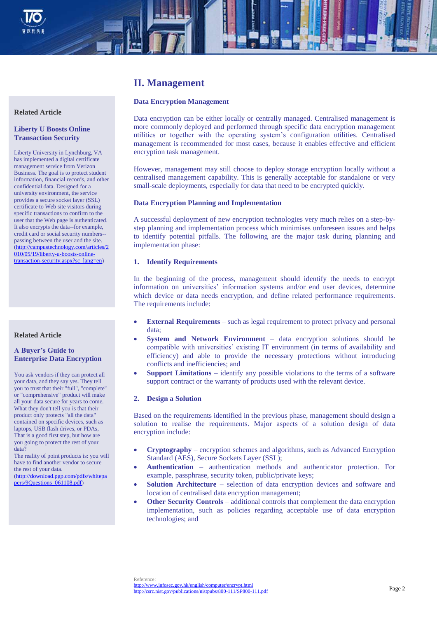

# **II. Management**

## **Data Encryption Management**

Data encryption can be either locally or centrally managed. Centralised management is more commonly deployed and performed through specific data encryption management utilities or together with the operating system's configuration utilities. Centralised management is recommended for most cases, because it enables effective and efficient encryption task management.

However, management may still choose to deploy storage encryption locally without a centralised management capability. This is generally acceptable for standalone or very small-scale deployments, especially for data that need to be encrypted quickly.

#### **Data Encryption Planning and Implementation**

A successful deployment of new encryption technologies very much relies on a step-bystep planning and implementation process which minimises unforeseen issues and helps to identify potential pitfalls. The following are the major task during planning and implementation phase:

## **1. Identify Requirements**

In the beginning of the process, management should identify the needs to encrypt information on universities' information systems and/or end user devices, determine which device or data needs encryption, and define related performance requirements. The requirements include:

- **External Requirements** such as legal requirement to protect privacy and personal data;
- **System and Network Environment** data encryption solutions should be compatible with universities' existing IT environment (in terms of availability and efficiency) and able to provide the necessary protections without introducing conflicts and inefficiencies; and
- **Support Limitations** identify any possible violations to the terms of a software support contract or the warranty of products used with the relevant device.

#### **2. Design a Solution**

Based on the requirements identified in the previous phase, management should design a solution to realise the requirements. Major aspects of a solution design of data encryption include:

- **Cryptography** encryption schemes and algorithms, such as Advanced Encryption Standard (AES), Secure Sockets Layer (SSL);
- **Authentication** authentication methods and authenticator protection. For example, passphrase, security token, public/private keys;
- **Solution Architecture** selection of data encryption devices and software and location of centralised data encryption management;
- **Other Security Controls** additional controls that complement the data encryption implementation, such as policies regarding acceptable use of data encryption technologies; and

## **Related Article**

# **Liberty U Boosts Online Transaction Security**

Liberty University in Lynchburg, VA has implemented a digital certificate management service from Verizon Business. The goal is to protect student information, financial records, and other confidential data. Designed for a university environment, the service provides a secure socket layer (SSL) certificate to Web site visitors during specific transactions to confirm to the user that the Web page is authenticated. It also encrypts the data--for example, credit card or social security numbers- passing between the user and the site. [\(http://campustechnology.com/articles/2](http://campustechnology.com/articles/2010/05/19/liberty-u-boosts-online-transaction-security.aspx?sc_lang=en) [010/05/19/liberty-u-boosts-online](http://campustechnology.com/articles/2010/05/19/liberty-u-boosts-online-transaction-security.aspx?sc_lang=en)[transaction-security.aspx?sc\\_lang=en\)](http://campustechnology.com/articles/2010/05/19/liberty-u-boosts-online-transaction-security.aspx?sc_lang=en)

#### **Related Article**

# **A Buyer's Guide to Enterprise Data Encryption**

You ask vendors if they can protect all your data, and they say yes. They tell you to trust that their "full", "complete" or "comprehensive" product will make all your data secure for years to come. What they don't tell you is that their product only protects "all the data" contained on specific devices, such as laptops, USB flash drives, or PDAs, That is a good first step, but how are you going to protect the rest of your data?

The reality of point products is: you will have to find another vendor to secure the rest of your data.

[\(http://download.pgp.com/pdfs/whitepa](http://download.pgp.com/pdfs/whitepapers/9Questions_061108.pdf) [pers/9Questions\\_061108.pdf\)](http://download.pgp.com/pdfs/whitepapers/9Questions_061108.pdf)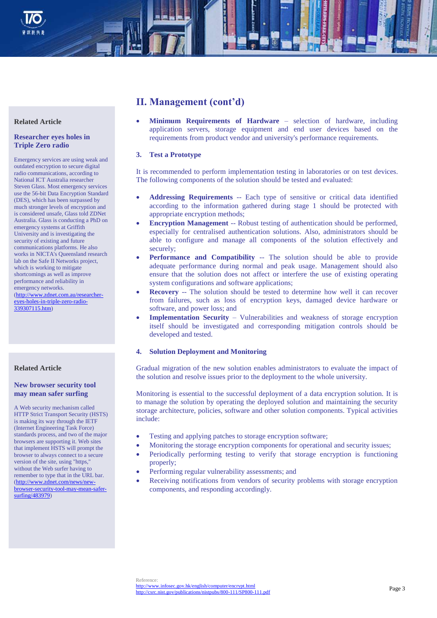

# **II. Management (cont'd)**

 **Minimum Requirements of Hardware** – selection of hardware, including application servers, storage equipment and end user devices based on the requirements from product vendor and university's performance requirements.

# **3. Test a Prototype**

It is recommended to perform implementation testing in laboratories or on test devices. The following components of the solution should be tested and evaluated:

- **Addressing Requirements** -- Each type of sensitive or critical data identified according to the information gathered during stage 1 should be protected with appropriate encryption methods;
- **Encryption Management** -- Robust testing of authentication should be performed, especially for centralised authentication solutions. Also, administrators should be able to configure and manage all components of the solution effectively and securely;
- **Performance and Compatibility** -- The solution should be able to provide adequate performance during normal and peak usage. Management should also ensure that the solution does not affect or interfere the use of existing operating system configurations and software applications;
- **Recovery** -- The solution should be tested to determine how well it can recover from failures, such as loss of encryption keys, damaged device hardware or software, and power loss; and
- **Implementation Security** Vulnerabilities and weakness of storage encryption itself should be investigated and corresponding mitigation controls should be developed and tested.

# **4. Solution Deployment and Monitoring**

Gradual migration of the new solution enables administrators to evaluate the impact of the solution and resolve issues prior to the deployment to the whole university.

Monitoring is essential to the successful deployment of a data encryption solution. It is to manage the solution by operating the deployed solution and maintaining the security storage architecture, policies, software and other solution components. Typical activities include:

- Testing and applying patches to storage encryption software;
- Monitoring the storage encryption components for operational and security issues;
- Periodically performing testing to verify that storage encryption is functioning properly;
- Performing regular vulnerability assessments; and
- Receiving notifications from vendors of security problems with storage encryption components, and responding accordingly.

#### **Related Article**

# **Researcher eyes holes in Triple Zero radio**

Emergency services are using weak and outdated encryption to secure digital radio communications, according to National ICT Australia researcher Steven Glass. Most emergency services use the 56-bit Data Encryption Standard (DES), which has been surpassed by much stronger levels of encryption and is considered unsafe, Glass told ZDNet Australia. Glass is conducting a PhD on emergency systems at Griffith University and is investigating the security of existing and future communications platforms. He also works in NICTA's Queensland research lab on the Safe II Networks project, which is working to mitigate shortcomings as well as improve performance and reliability in emergency networks. [\(http://www.zdnet.com.au/researcher](http://www.zdnet.com.au/researcher-eyes-holes-in-triple-zero-radio-339307115.htm)[eyes-holes-in-triple-zero-radio-](http://www.zdnet.com.au/researcher-eyes-holes-in-triple-zero-radio-339307115.htm)[339307115.htm\)](http://www.zdnet.com.au/researcher-eyes-holes-in-triple-zero-radio-339307115.htm)

# **Related Article**

# **New browser security tool may mean safer surfing**

A Web security mechanism called HTTP Strict Transport Security (HSTS) is making its way through the IETF (Internet Engineering Task Force) standards process, and two of the major browsers are supporting it. Web sites that implement HSTS will prompt the browser to always connect to a secure version of the site, using "https," without the Web surfer having to remember to type that in the URL bar. [\(http://www.zdnet.com/news/new](http://www.zdnet.com/news/new-browser-security-tool-may-mean-safer-surfing/483979)[browser-security-tool-may-mean-safer](http://www.zdnet.com/news/new-browser-security-tool-may-mean-safer-surfing/483979)[surfing/483979\)](http://www.zdnet.com/news/new-browser-security-tool-may-mean-safer-surfing/483979)